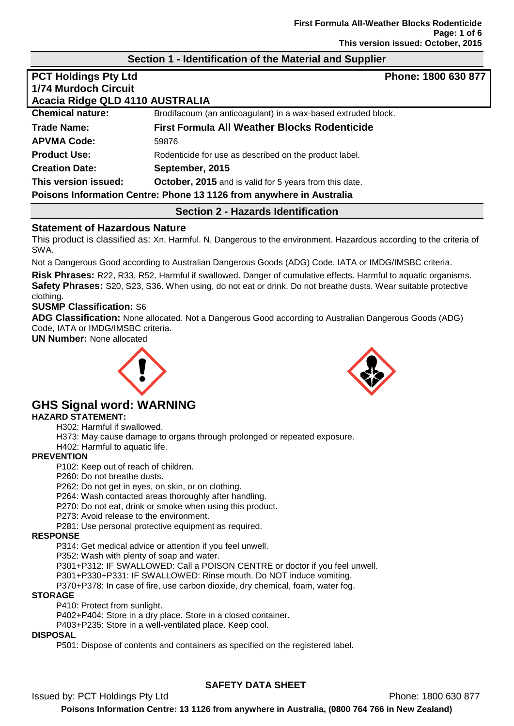## **Section 1 - Identification of the Material and Supplier**

| <b>PCT Holdings Pty Ltd</b>                                          | Phone: 1800 630 877                                           |  |  |  |
|----------------------------------------------------------------------|---------------------------------------------------------------|--|--|--|
| <b>1/74 Murdoch Circuit</b>                                          |                                                               |  |  |  |
| Acacia Ridge QLD 4110 AUSTRALIA                                      |                                                               |  |  |  |
| <b>Chemical nature:</b>                                              | Brodifacoum (an anticoagulant) in a wax-based extruded block. |  |  |  |
| <b>Trade Name:</b>                                                   | <b>First Formula All Weather Blocks Rodenticide</b>           |  |  |  |
| <b>APVMA Code:</b>                                                   | 59876                                                         |  |  |  |
| <b>Product Use:</b>                                                  | Rodenticide for use as described on the product label.        |  |  |  |
| <b>Creation Date:</b>                                                | September, 2015                                               |  |  |  |
| This version issued:                                                 | October, 2015 and is valid for 5 years from this date.        |  |  |  |
| Poisons Information Centre: Phone 13 1126 from anywhere in Australia |                                                               |  |  |  |
| <b>Section 2 - Hazards Identification</b>                            |                                                               |  |  |  |

# **Statement of Hazardous Nature**

This product is classified as: Xn, Harmful. N, Dangerous to the environment. Hazardous according to the criteria of SWA.

Not a Dangerous Good according to Australian Dangerous Goods (ADG) Code, IATA or IMDG/IMSBC criteria.

**Risk Phrases:** R22, R33, R52. Harmful if swallowed. Danger of cumulative effects. Harmful to aquatic organisms. **Safety Phrases:** S20, S23, S36. When using, do not eat or drink. Do not breathe dusts. Wear suitable protective clothing.

## **SUSMP Classification:** S6

**ADG Classification:** None allocated. Not a Dangerous Good according to Australian Dangerous Goods (ADG) Code, IATA or IMDG/IMSBC criteria.

**UN Number:** None allocated





# **GHS Signal word: WARNING**

## **HAZARD STATEMENT:**

H302: Harmful if swallowed.

H373: May cause damage to organs through prolonged or repeated exposure.

H402: Harmful to aquatic life.

## **PREVENTION**

P102: Keep out of reach of children.

P260: Do not breathe dusts.

P262: Do not get in eyes, on skin, or on clothing.

P264: Wash contacted areas thoroughly after handling.

P270: Do not eat, drink or smoke when using this product.

P273: Avoid release to the environment.

P281: Use personal protective equipment as required.

### **RESPONSE**

P314: Get medical advice or attention if you feel unwell.

P352: Wash with plenty of soap and water.

P301+P312: IF SWALLOWED: Call a POISON CENTRE or doctor if you feel unwell.

P301+P330+P331: IF SWALLOWED: Rinse mouth. Do NOT induce vomiting.

P370+P378: In case of fire, use carbon dioxide, dry chemical, foam, water fog.

### **STORAGE**

P410: Protect from sunlight.

P402+P404: Store in a dry place. Store in a closed container.

P403+P235: Store in a well-ventilated place. Keep cool.

## **DISPOSAL**

P501: Dispose of contents and containers as specified on the registered label.

# **SAFETY DATA SHEET**

Issued by: PCT Holdings Pty Ltd **Phone: 1800 630 877**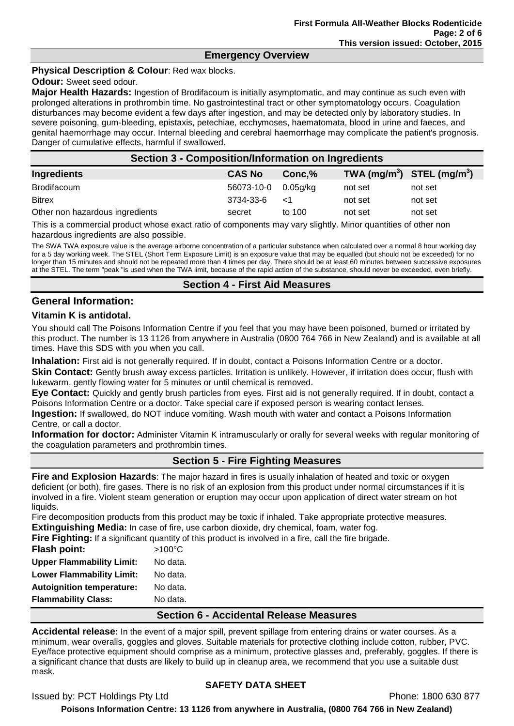## **Emergency Overview**

## **Physical Description & Colour**: Red wax blocks.

## **Odour:** Sweet seed odour.

**Major Health Hazards:** Ingestion of Brodifacoum is initially asymptomatic, and may continue as such even with prolonged alterations in prothrombin time. No gastrointestinal tract or other symptomatology occurs. Coagulation disturbances may become evident a few days after ingestion, and may be detected only by laboratory studies. In severe poisoning, gum-bleeding, epistaxis, petechiae, ecchymoses, haematomata, blood in urine and faeces, and genital haemorrhage may occur. Internal bleeding and cerebral haemorrhage may complicate the patient's prognosis. Danger of cumulative effects, harmful if swallowed.

| <b>Section 3 - Composition/Information on Ingredients</b> |               |             |         |                                |  |
|-----------------------------------------------------------|---------------|-------------|---------|--------------------------------|--|
| Ingredients                                               | <b>CAS No</b> | Conc.%      |         | TWA $(mg/m^3)$ STEL $(mg/m^3)$ |  |
| <b>Brodifacoum</b>                                        | 56073-10-0    | $0.05$ g/kg | not set | not set                        |  |
| <b>Bitrex</b>                                             | 3734-33-6     | $\leq$ 1    | not set | not set                        |  |
| Other non hazardous ingredients                           | secret        | to 100      | not set | not set                        |  |

This is a commercial product whose exact ratio of components may vary slightly. Minor quantities of other non hazardous ingredients are also possible.

The SWA TWA exposure value is the average airborne concentration of a particular substance when calculated over a normal 8 hour working day for a 5 day working week. The STEL (Short Term Exposure Limit) is an exposure value that may be equalled (but should not be exceeded) for no longer than 15 minutes and should not be repeated more than 4 times per day. There should be at least 60 minutes between successive exposures at the STEL. The term "peak "is used when the TWA limit, because of the rapid action of the substance, should never be exceeded, even briefly.

## **Section 4 - First Aid Measures**

## **General Information:**

## **Vitamin K is antidotal.**

You should call The Poisons Information Centre if you feel that you may have been poisoned, burned or irritated by this product. The number is 13 1126 from anywhere in Australia (0800 764 766 in New Zealand) and is available at all times. Have this SDS with you when you call.

**Inhalation:** First aid is not generally required. If in doubt, contact a Poisons Information Centre or a doctor. **Skin Contact:** Gently brush away excess particles. Irritation is unlikely. However, if irritation does occur, flush with lukewarm, gently flowing water for 5 minutes or until chemical is removed.

**Eye Contact:** Quickly and gently brush particles from eyes. First aid is not generally required. If in doubt, contact a Poisons Information Centre or a doctor. Take special care if exposed person is wearing contact lenses.

**Ingestion:** If swallowed, do NOT induce vomiting. Wash mouth with water and contact a Poisons Information Centre, or call a doctor.

**Information for doctor:** Administer Vitamin K intramuscularly or orally for several weeks with regular monitoring of the coagulation parameters and prothrombin times.

## **Section 5 - Fire Fighting Measures**

**Fire and Explosion Hazards**: The major hazard in fires is usually inhalation of heated and toxic or oxygen deficient (or both), fire gases. There is no risk of an explosion from this product under normal circumstances if it is involved in a fire. Violent steam generation or eruption may occur upon application of direct water stream on hot liquids.

Fire decomposition products from this product may be toxic if inhaled. Take appropriate protective measures. **Extinguishing Media:** In case of fire, use carbon dioxide, dry chemical, foam, water fog.

**Fire Fighting:** If a significant quantity of this product is involved in a fire, call the fire brigade. **Flash point:** >100°C **Upper Flammability Limit:** No data. Lower Flammability Limit: No data. **Autoignition temperature:** No data. **Flammability Class:** No data.

## **Section 6 - Accidental Release Measures**

**Accidental release:** In the event of a major spill, prevent spillage from entering drains or water courses. As a minimum, wear overalls, goggles and gloves. Suitable materials for protective clothing include cotton, rubber, PVC. Eye/face protective equipment should comprise as a minimum, protective glasses and, preferably, goggles. If there is a significant chance that dusts are likely to build up in cleanup area, we recommend that you use a suitable dust mask.

## **SAFETY DATA SHEET**

Issued by: PCT Holdings Pty Ltd **Phone: 1800 630 877**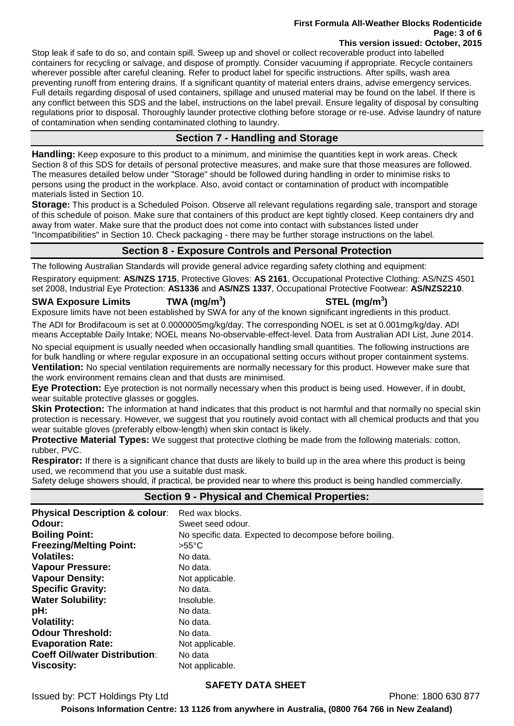#### **First Formula All-Weather Blocks Rodenticide Page: 3 of 6 This version issued: October, 2015**

Stop leak if safe to do so, and contain spill. Sweep up and shovel or collect recoverable product into labelled containers for recycling or salvage, and dispose of promptly. Consider vacuuming if appropriate. Recycle containers wherever possible after careful cleaning. Refer to product label for specific instructions. After spills, wash area preventing runoff from entering drains. If a significant quantity of material enters drains, advise emergency services. Full details regarding disposal of used containers, spillage and unused material may be found on the label. If there is any conflict between this SDS and the label, instructions on the label prevail. Ensure legality of disposal by consulting regulations prior to disposal. Thoroughly launder protective clothing before storage or re-use. Advise laundry of nature of contamination when sending contaminated clothing to laundry.

# **Section 7 - Handling and Storage**

**Handling:** Keep exposure to this product to a minimum, and minimise the quantities kept in work areas. Check Section 8 of this SDS for details of personal protective measures, and make sure that those measures are followed. The measures detailed below under "Storage" should be followed during handling in order to minimise risks to persons using the product in the workplace. Also, avoid contact or contamination of product with incompatible materials listed in Section 10.

**Storage:** This product is a Scheduled Poison. Observe all relevant regulations regarding sale, transport and storage of this schedule of poison. Make sure that containers of this product are kept tightly closed. Keep containers dry and away from water. Make sure that the product does not come into contact with substances listed under "Incompatibilities" in Section 10. Check packaging - there may be further storage instructions on the label.

# **Section 8 - Exposure Controls and Personal Protection**

The following Australian Standards will provide general advice regarding safety clothing and equipment:

Respiratory equipment: **AS/NZS 1715**, Protective Gloves: **AS 2161**, Occupational Protective Clothing: AS/NZS 4501 set 2008, Industrial Eye Protection: **AS1336** and **AS/NZS 1337**, Occupational Protective Footwear: **AS/NZS2210**.

**SWA Exposure Limits TWA (mg/m<sup>3</sup>**

# **) STEL (mg/m<sup>3</sup> )**

Exposure limits have not been established by SWA for any of the known significant ingredients in this product. The ADI for Brodifacoum is set at 0.0000005mg/kg/day. The corresponding NOEL is set at 0.001mg/kg/day. ADI

means Acceptable Daily Intake; NOEL means No-observable-effect-level. Data from Australian ADI List, June 2014.

No special equipment is usually needed when occasionally handling small quantities. The following instructions are for bulk handling or where regular exposure in an occupational setting occurs without proper containment systems. **Ventilation:** No special ventilation requirements are normally necessary for this product. However make sure that the work environment remains clean and that dusts are minimised.

**Eye Protection:** Eye protection is not normally necessary when this product is being used. However, if in doubt, wear suitable protective glasses or goggles.

**Skin Protection:** The information at hand indicates that this product is not harmful and that normally no special skin protection is necessary. However, we suggest that you routinely avoid contact with all chemical products and that you wear suitable gloves (preferably elbow-length) when skin contact is likely.

**Protective Material Types:** We suggest that protective clothing be made from the following materials: cotton, rubber, PVC.

**Respirator:** If there is a significant chance that dusts are likely to build up in the area where this product is being used, we recommend that you use a suitable dust mask.

Safety deluge showers should, if practical, be provided near to where this product is being handled commercially.

| <b>Physical Description &amp; colour:</b> | Red wax blocks.                                         |
|-------------------------------------------|---------------------------------------------------------|
| Odour:                                    | Sweet seed odour.                                       |
| <b>Boiling Point:</b>                     | No specific data. Expected to decompose before boiling. |
| <b>Freezing/Melting Point:</b>            | $>55^{\circ}$ C                                         |
| <b>Volatiles:</b>                         | No data.                                                |
| <b>Vapour Pressure:</b>                   | No data.                                                |
| <b>Vapour Density:</b>                    | Not applicable.                                         |
| <b>Specific Gravity:</b>                  | No data.                                                |
| <b>Water Solubility:</b>                  | Insoluble.                                              |
| pH:                                       | No data.                                                |
| <b>Volatility:</b>                        | No data.                                                |
| <b>Odour Threshold:</b>                   | No data.                                                |
| <b>Evaporation Rate:</b>                  | Not applicable.                                         |
| <b>Coeff Oil/water Distribution:</b>      | No data                                                 |
| <b>Viscosity:</b>                         | Not applicable.                                         |

# **Section 9 - Physical and Chemical Properties:**

**SAFETY DATA SHEET**

Issued by: PCT Holdings Pty Ltd **Phone: 1800 630 877**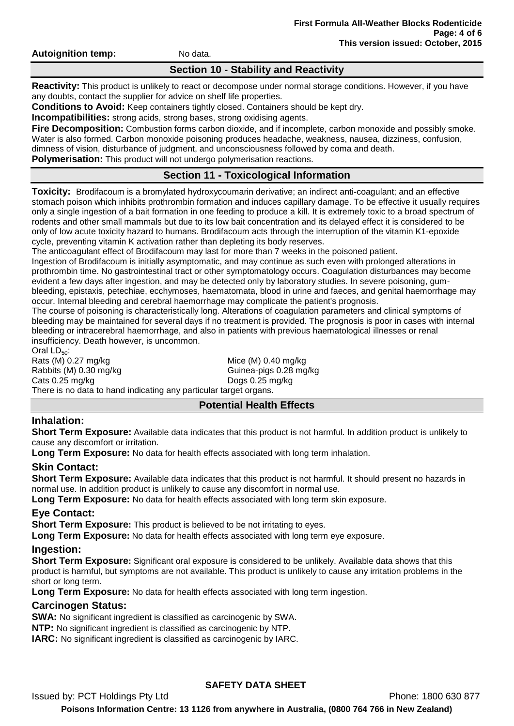**Autoignition temp:** No data.

## **Section 10 - Stability and Reactivity**

**Reactivity:** This product is unlikely to react or decompose under normal storage conditions. However, if you have any doubts, contact the supplier for advice on shelf life properties.

**Conditions to Avoid:** Keep containers tightly closed. Containers should be kept dry.

**Incompatibilities:** strong acids, strong bases, strong oxidising agents.

**Fire Decomposition:** Combustion forms carbon dioxide, and if incomplete, carbon monoxide and possibly smoke. Water is also formed. Carbon monoxide poisoning produces headache, weakness, nausea, dizziness, confusion, dimness of vision, disturbance of judgment, and unconsciousness followed by coma and death.

**Polymerisation:** This product will not undergo polymerisation reactions.

# **Section 11 - Toxicological Information**

**Toxicity:** Brodifacoum is a bromylated hydroxycoumarin derivative; an indirect anti-coagulant; and an effective stomach poison which inhibits prothrombin formation and induces capillary damage. To be effective it usually requires only a single ingestion of a bait formation in one feeding to produce a kill. It is extremely toxic to a broad spectrum of rodents and other small mammals but due to its low bait concentration and its delayed effect it is considered to be only of low acute toxicity hazard to humans. Brodifacoum acts through the interruption of the vitamin K1-epoxide cycle, preventing vitamin K activation rather than depleting its body reserves.

The anticoagulant effect of Brodifacoum may last for more than 7 weeks in the poisoned patient.

Ingestion of Brodifacoum is initially asymptomatic, and may continue as such even with prolonged alterations in prothrombin time. No gastrointestinal tract or other symptomatology occurs. Coagulation disturbances may become evident a few days after ingestion, and may be detected only by laboratory studies. In severe poisoning, gumbleeding, epistaxis, petechiae, ecchymoses, haematomata, blood in urine and faeces, and genital haemorrhage may occur. Internal bleeding and cerebral haemorrhage may complicate the patient's prognosis.

The course of poisoning is characteristically long. Alterations of coagulation parameters and clinical symptoms of bleeding may be maintained for several days if no treatment is provided. The prognosis is poor in cases with internal bleeding or intracerebral haemorrhage, and also in patients with previous haematological illnesses or renal insufficiency. Death however, is uncommon.

Oral  $LD_{50}$ : Rats  $(M)$  0.27 mg/kg  $M$  Mice  $(M)$  0.40 mg/kg Rabbits (M) 0.30 mg/kg Guinea-pigs 0.28 mg/kg Cats 0.25 mg/kg Dogs 0.25 mg/kg There is no data to hand indicating any particular target organs.

## **Potential Health Effects**

# **Inhalation:**

**Short Term Exposure:** Available data indicates that this product is not harmful. In addition product is unlikely to cause any discomfort or irritation.

**Long Term Exposure:** No data for health effects associated with long term inhalation.

## **Skin Contact:**

**Short Term Exposure:** Available data indicates that this product is not harmful. It should present no hazards in normal use. In addition product is unlikely to cause any discomfort in normal use.

**Long Term Exposure:** No data for health effects associated with long term skin exposure.

## **Eye Contact:**

**Short Term Exposure:** This product is believed to be not irritating to eyes.

**Long Term Exposure:** No data for health effects associated with long term eye exposure.

## **Ingestion:**

**Short Term Exposure:** Significant oral exposure is considered to be unlikely. Available data shows that this product is harmful, but symptoms are not available. This product is unlikely to cause any irritation problems in the short or long term.

**Long Term Exposure:** No data for health effects associated with long term ingestion.

## **Carcinogen Status:**

**SWA:** No significant ingredient is classified as carcinogenic by SWA.

**NTP:** No significant ingredient is classified as carcinogenic by NTP.

**IARC:** No significant ingredient is classified as carcinogenic by IARC.

# **SAFETY DATA SHEET**

Issued by: PCT Holdings Pty Ltd **Phone: 1800 630 877**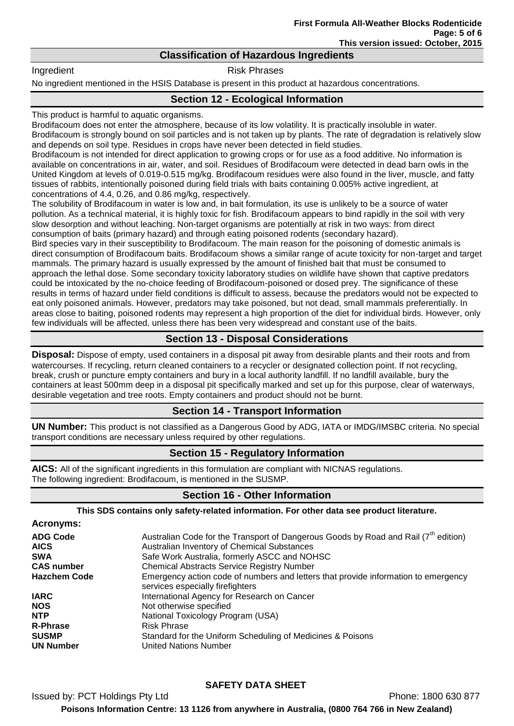## **Classification of Hazardous Ingredients**

Ingredient **Risk Phrases** 

No ingredient mentioned in the HSIS Database is present in this product at hazardous concentrations.

# **Section 12 - Ecological Information**

This product is harmful to aquatic organisms.

Brodifacoum does not enter the atmosphere, because of its low volatility. It is practically insoluble in water. Brodifacoum is strongly bound on soil particles and is not taken up by plants. The rate of degradation is relatively slow and depends on soil type. Residues in crops have never been detected in field studies.

Brodifacoum is not intended for direct application to growing crops or for use as a food additive. No information is available on concentrations in air, water, and soil. Residues of Brodifacoum were detected in dead barn owls in the United Kingdom at levels of 0.019-0.515 mg/kg. Brodifacoum residues were also found in the liver, muscle, and fatty tissues of rabbits, intentionally poisoned during field trials with baits containing 0.005% active ingredient, at concentrations of 4.4, 0.26, and 0.86 mg/kg, respectively.

The solubility of Brodifacoum in water is low and, in bait formulation, its use is unlikely to be a source of water pollution. As a technical material, it is highly toxic for fish. Brodifacoum appears to bind rapidly in the soil with very slow desorption and without leaching. Non-target organisms are potentially at risk in two ways: from direct consumption of baits (primary hazard) and through eating poisoned rodents (secondary hazard).

Bird species vary in their susceptibility to Brodifacoum. The main reason for the poisoning of domestic animals is direct consumption of Brodifacoum baits. Brodifacoum shows a similar range of acute toxicity for non-target and target mammals. The primary hazard is usually expressed by the amount of finished bait that must be consumed to approach the lethal dose. Some secondary toxicity laboratory studies on wildlife have shown that captive predators could be intoxicated by the no-choice feeding of Brodifacoum-poisoned or dosed prey. The significance of these results in terms of hazard under field conditions is difficult to assess, because the predators would not be expected to eat only poisoned animals. However, predators may take poisoned, but not dead, small mammals preferentially. In areas close to baiting, poisoned rodents may represent a high proportion of the diet for individual birds. However, only few individuals will be affected, unless there has been very widespread and constant use of the baits.

# **Section 13 - Disposal Considerations**

**Disposal:** Dispose of empty, used containers in a disposal pit away from desirable plants and their roots and from watercourses. If recycling, return cleaned containers to a recycler or designated collection point. If not recycling, break, crush or puncture empty containers and bury in a local authority landfill. If no landfill available, bury the containers at least 500mm deep in a disposal pit specifically marked and set up for this purpose, clear of waterways, desirable vegetation and tree roots. Empty containers and product should not be burnt.

## **Section 14 - Transport Information**

**UN Number:** This product is not classified as a Dangerous Good by ADG, IATA or IMDG/IMSBC criteria. No special transport conditions are necessary unless required by other regulations.

## **Section 15 - Regulatory Information**

**AICS:** All of the significant ingredients in this formulation are compliant with NICNAS regulations. The following ingredient: Brodifacoum, is mentioned in the SUSMP.

# **Section 16 - Other Information**

**This SDS contains only safety-related information. For other data see product literature.**

| <b>Acronyms:</b>    |                                                                                                                        |
|---------------------|------------------------------------------------------------------------------------------------------------------------|
| <b>ADG Code</b>     | Australian Code for the Transport of Dangerous Goods by Road and Rail (7 <sup>th</sup> edition)                        |
| <b>AICS</b>         | Australian Inventory of Chemical Substances                                                                            |
| <b>SWA</b>          | Safe Work Australia, formerly ASCC and NOHSC                                                                           |
| <b>CAS number</b>   | <b>Chemical Abstracts Service Registry Number</b>                                                                      |
| <b>Hazchem Code</b> | Emergency action code of numbers and letters that provide information to emergency<br>services especially firefighters |
| <b>IARC</b>         | International Agency for Research on Cancer                                                                            |
| <b>NOS</b>          | Not otherwise specified                                                                                                |
| <b>NTP</b>          | National Toxicology Program (USA)                                                                                      |
| <b>R-Phrase</b>     | <b>Risk Phrase</b>                                                                                                     |
| <b>SUSMP</b>        | Standard for the Uniform Scheduling of Medicines & Poisons                                                             |
| <b>UN Number</b>    | <b>United Nations Number</b>                                                                                           |

# **SAFETY DATA SHEET**

Issued by: PCT Holdings Pty Ltd **Phone: 1800 630 877 Poisons Information Centre: 13 1126 from anywhere in Australia, (0800 764 766 in New Zealand)**